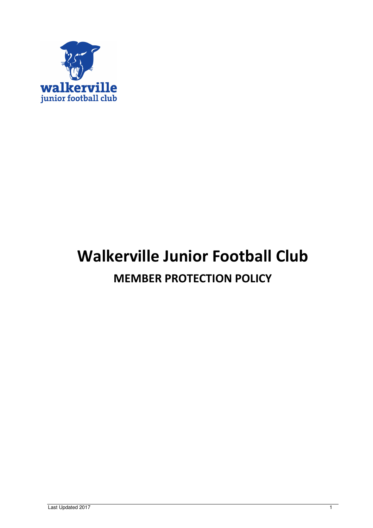

# Walkerville Junior Football Club MEMBER PROTECTION POLICY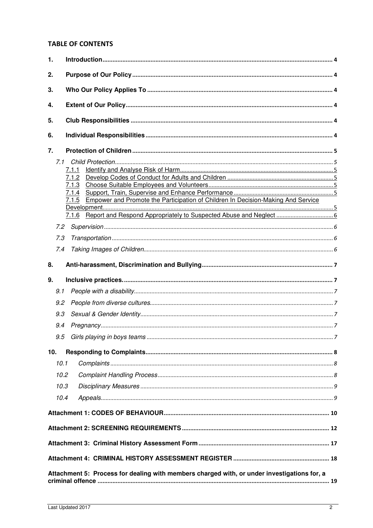# **TABLE OF CONTENTS**

| 1.  |      |                                                                                             |  |
|-----|------|---------------------------------------------------------------------------------------------|--|
| 2.  |      |                                                                                             |  |
| 3.  |      |                                                                                             |  |
| 4.  |      |                                                                                             |  |
|     |      |                                                                                             |  |
| 5.  |      |                                                                                             |  |
| 6.  |      |                                                                                             |  |
| 7.  |      |                                                                                             |  |
|     | 7.1  |                                                                                             |  |
|     |      | 7.1.1                                                                                       |  |
|     |      | 7.1.2                                                                                       |  |
|     |      | 7.1.3                                                                                       |  |
|     |      | 7.1.4                                                                                       |  |
|     |      | Empower and Promote the Participation of Children In Decision-Making And Service<br>7.1.5   |  |
|     |      |                                                                                             |  |
|     |      |                                                                                             |  |
|     | 7.2  |                                                                                             |  |
|     | 7.3  |                                                                                             |  |
|     | 7.4  |                                                                                             |  |
| 8.  |      |                                                                                             |  |
| 9.  |      |                                                                                             |  |
|     | 9.1  |                                                                                             |  |
|     | 9.2  |                                                                                             |  |
|     | 9.3  |                                                                                             |  |
|     | 9.4  |                                                                                             |  |
|     |      |                                                                                             |  |
| 10. |      |                                                                                             |  |
|     |      |                                                                                             |  |
|     | 10.1 |                                                                                             |  |
|     | 10.2 |                                                                                             |  |
|     | 10.3 |                                                                                             |  |
|     | 10.4 |                                                                                             |  |
|     |      |                                                                                             |  |
|     |      |                                                                                             |  |
|     |      |                                                                                             |  |
|     |      |                                                                                             |  |
|     |      |                                                                                             |  |
|     |      | Attachment 5: Process for dealing with members charged with, or under investigations for, a |  |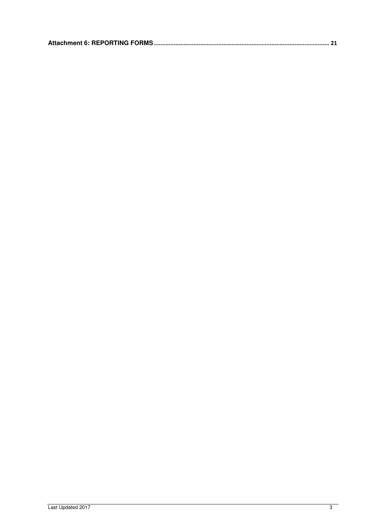|--|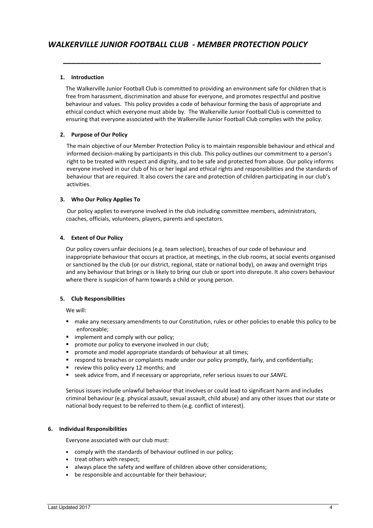## 1. Introduction

The Walkerville Junior Football Club is committed to providing an environment safe for children that is free from harassment, discrimination and abuse for everyone, and promotes respectful and positive behaviour and values. This policy provides a code of behaviour forming the basis of appropriate and ethical conduct which everyone must abide by. The Walkerville Junior Football Club is committed to ensuring that everyone associated with the Walkerville Junior Football Club complies with the policy.

\_\_\_\_\_\_\_\_\_\_\_\_\_\_\_\_\_\_\_\_\_\_\_\_\_\_\_\_\_\_\_\_\_\_\_\_\_\_\_\_\_\_\_\_\_\_\_\_\_\_\_\_\_\_\_\_\_\_\_

## 2. Purpose of Our Policy

The main objective of our Member Protection Policy is to maintain responsible behaviour and ethical and informed decision-making by participants in this club. This policy outlines our commitment to a person's right to be treated with respect and dignity, and to be safe and protected from abuse. Our policy informs everyone involved in our club of his or her legal and ethical rights and responsibilities and the standards of behaviour that are required. It also covers the care and protection of children participating in our club's activities.

## 3. Who Our Policy Applies To

Our policy applies to everyone involved in the club including committee members, administrators, coaches, officials, volunteers, players, parents and spectators.

## 4. Extent of Our Policy

Our policy covers unfair decisions (e.g. team selection), breaches of our code of behaviour and inappropriate behaviour that occurs at practice, at meetings, in the club rooms, at social events organised or sanctioned by the club (or our district, regional, state or national body), on away and overnight trips and any behaviour that brings or is likely to bring our club or sport into disrepute. It also covers behaviour where there is suspicion of harm towards a child or young person.

## 5. Club Responsibilities

We will:

- make any necessary amendments to our Constitution, rules or other policies to enable this policy to be enforceable;
- **I** implement and comply with our policy;
- **P** promote our policy to everyone involved in our club;
- **P** promote and model appropriate standards of behaviour at all times;
- **F** respond to breaches or complaints made under our policy promptly, fairly, and confidentially;
- **•** review this policy every 12 months; and
- seek advice from, and if necessary or appropriate, refer serious issues to our SANFL.

Serious issues include unlawful behaviour that involves or could lead to significant harm and includes criminal behaviour (e.g. physical assault, sexual assault, child abuse) and any other issues that our state or national body request to be referred to them (e.g. conflict of interest).

## 6. Individual Responsibilities

Everyone associated with our club must:

- comply with the standards of behaviour outlined in our policy;
- treat others with respect;
- always place the safety and welfare of children above other considerations;
- be responsible and accountable for their behaviour;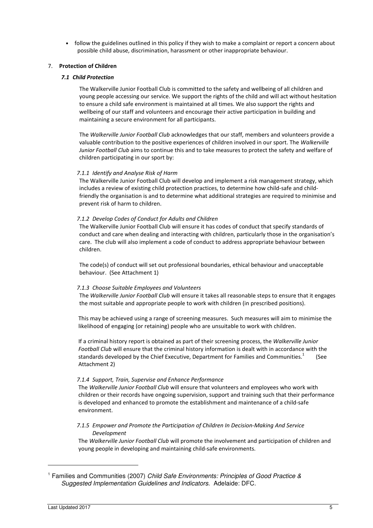• follow the guidelines outlined in this policy if they wish to make a complaint or report a concern about possible child abuse, discrimination, harassment or other inappropriate behaviour.

## 7. Protection of Children

## 7.1 Child Protection

The Walkerville Junior Football Club is committed to the safety and wellbeing of all children and young people accessing our service. We support the rights of the child and will act without hesitation to ensure a child safe environment is maintained at all times. We also support the rights and wellbeing of our staff and volunteers and encourage their active participation in building and maintaining a secure environment for all participants.

The Walkerville Junior Football Club acknowledges that our staff, members and volunteers provide a valuable contribution to the positive experiences of children involved in our sport. The Walkerville Junior Football Club aims to continue this and to take measures to protect the safety and welfare of children participating in our sport by:

## 7.1.1 Identify and Analyse Risk of Harm

The Walkerville Junior Football Club will develop and implement a risk management strategy, which includes a review of existing child protection practices, to determine how child-safe and childfriendly the organisation is and to determine what additional strategies are required to minimise and prevent risk of harm to children.

## 7.1.2 Develop Codes of Conduct for Adults and Children

The Walkerville Junior Football Club will ensure it has codes of conduct that specify standards of conduct and care when dealing and interacting with children, particularly those in the organisation's care. The club will also implement a code of conduct to address appropriate behaviour between children.

The code(s) of conduct will set out professional boundaries, ethical behaviour and unacceptable behaviour. (See Attachment 1)

## 7.1.3 Choose Suitable Employees and Volunteers

The Walkerville Junior Football Club will ensure it takes all reasonable steps to ensure that it engages the most suitable and appropriate people to work with children (in prescribed positions).

This may be achieved using a range of screening measures. Such measures will aim to minimise the likelihood of engaging (or retaining) people who are unsuitable to work with children.

If a criminal history report is obtained as part of their screening process, the Walkerville Junior Football Club will ensure that the criminal history information is dealt with in accordance with the standards developed by the Chief Executive, Department for Families and Communities.<sup>1</sup> (See Attachment 2)

## 7.1.4 Support, Train, Supervise and Enhance Performance

The Walkerville Junior Football Club will ensure that volunteers and employees who work with children or their records have ongoing supervision, support and training such that their performance is developed and enhanced to promote the establishment and maintenance of a child-safe environment.

## 7.1.5 Empower and Promote the Participation of Children In Decision-Making And Service Development

The Walkerville Junior Football Club will promote the involvement and participation of children and young people in developing and maintaining child-safe environments.

 $\overline{a}$ 

<sup>&</sup>lt;sup>1</sup> Families and Communities (2007) Child Safe Environments: Principles of Good Practice & Suggested Implementation Guidelines and Indicators. Adelaide: DFC.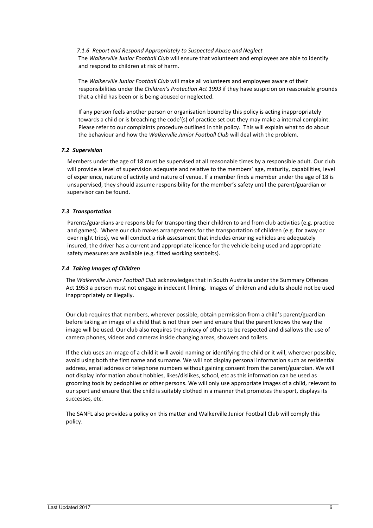7.1.6 Report and Respond Appropriately to Suspected Abuse and Neglect The Walkerville Junior Football Club will ensure that volunteers and employees are able to identify and respond to children at risk of harm.

The Walkerville Junior Football Club will make all volunteers and employees aware of their responsibilities under the Children's Protection Act 1993 if they have suspicion on reasonable grounds that a child has been or is being abused or neglected.

If any person feels another person or organisation bound by this policy is acting inappropriately towards a child or is breaching the code'(s) of practice set out they may make a internal complaint. Please refer to our complaints procedure outlined in this policy. This will explain what to do about the behaviour and how the Walkerville Junior Football Club will deal with the problem.

## 7.2 Supervision

 Members under the age of 18 must be supervised at all reasonable times by a responsible adult. Our club will provide a level of supervision adequate and relative to the members' age, maturity, capabilities, level of experience, nature of activity and nature of venue. If a member finds a member under the age of 18 is unsupervised, they should assume responsibility for the member's safety until the parent/guardian or supervisor can be found.

## 7.3 Transportation

 Parents/guardians are responsible for transporting their children to and from club activities (e.g. practice and games). Where our club makes arrangements for the transportation of children (e.g. for away or over night trips), we will conduct a risk assessment that includes ensuring vehicles are adequately insured, the driver has a current and appropriate licence for the vehicle being used and appropriate safety measures are available (e.g. fitted working seatbelts).

## 7.4 Taking Images of Children

The Walkerville Junior Football Club acknowledges that in South Australia under the Summary Offences Act 1953 a person must not engage in indecent filming. Images of children and adults should not be used inappropriately or illegally.

Our club requires that members, wherever possible, obtain permission from a child's parent/guardian before taking an image of a child that is not their own and ensure that the parent knows the way the image will be used. Our club also requires the privacy of others to be respected and disallows the use of camera phones, videos and cameras inside changing areas, showers and toilets.

If the club uses an image of a child it will avoid naming or identifying the child or it will, wherever possible, avoid using both the first name and surname. We will not display personal information such as residential address, email address or telephone numbers without gaining consent from the parent/guardian. We will not display information about hobbies, likes/dislikes, school, etc as this information can be used as grooming tools by pedophiles or other persons. We will only use appropriate images of a child, relevant to our sport and ensure that the child is suitably clothed in a manner that promotes the sport, displays its successes, etc.

The SANFL also provides a policy on this matter and Walkerville Junior Football Club will comply this policy.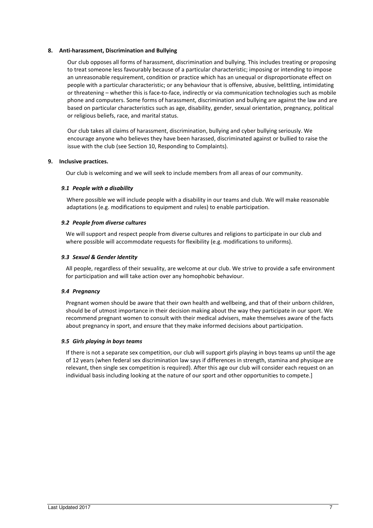## 8. Anti-harassment, Discrimination and Bullying

Our club opposes all forms of harassment, discrimination and bullying. This includes treating or proposing to treat someone less favourably because of a particular characteristic; imposing or intending to impose an unreasonable requirement, condition or practice which has an unequal or disproportionate effect on people with a particular characteristic; or any behaviour that is offensive, abusive, belittling, intimidating or threatening – whether this is face-to-face, indirectly or via communication technologies such as mobile phone and computers. Some forms of harassment, discrimination and bullying are against the law and are based on particular characteristics such as age, disability, gender, sexual orientation, pregnancy, political or religious beliefs, race, and marital status.

 Our club takes all claims of harassment, discrimination, bullying and cyber bullying seriously. We encourage anyone who believes they have been harassed, discriminated against or bullied to raise the issue with the club (see Section 10, Responding to Complaints).

## 9. Inclusive practices.

Our club is welcoming and we will seek to include members from all areas of our community.

## 9.1 People with a disability

Where possible we will include people with a disability in our teams and club. We will make reasonable adaptations (e.g. modifications to equipment and rules) to enable participation.

## 9.2 People from diverse cultures

We will support and respect people from diverse cultures and religions to participate in our club and where possible will accommodate requests for flexibility (e.g. modifications to uniforms).

## 9.3 Sexual & Gender Identity

All people, regardless of their sexuality, are welcome at our club. We strive to provide a safe environment for participation and will take action over any homophobic behaviour.

## 9.4 Pregnancy

Pregnant women should be aware that their own health and wellbeing, and that of their unborn children, should be of utmost importance in their decision making about the way they participate in our sport. We recommend pregnant women to consult with their medical advisers, make themselves aware of the facts about pregnancy in sport, and ensure that they make informed decisions about participation.

## 9.5 Girls playing in boys teams

If there is not a separate sex competition, our club will support girls playing in boys teams up until the age of 12 years (when federal sex discrimination law says if differences in strength, stamina and physique are relevant, then single sex competition is required). After this age our club will consider each request on an individual basis including looking at the nature of our sport and other opportunities to compete.]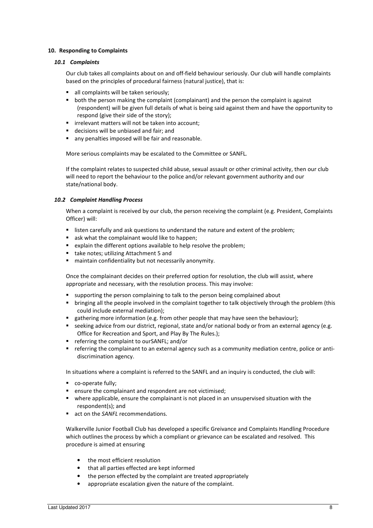## 10. Responding to Complaints

## 10.1 Complaints

Our club takes all complaints about on and off-field behaviour seriously. Our club will handle complaints based on the principles of procedural fairness (natural justice), that is:

- all complaints will be taken seriously;
- both the person making the complaint (complainant) and the person the complaint is against (respondent) will be given full details of what is being said against them and have the opportunity to respond (give their side of the story);
- **F** irrelevant matters will not be taken into account;
- decisions will be unbiased and fair; and
- **a** any penalties imposed will be fair and reasonable.

More serious complaints may be escalated to the Committee or SANFL.

If the complaint relates to suspected child abuse, sexual assault or other criminal activity, then our club will need to report the behaviour to the police and/or relevant government authority and our state/national body.

## 10.2 Complaint Handling Process

When a complaint is received by our club, the person receiving the complaint (e.g. President, Complaints Officer) will:

- **EXECT** listen carefully and ask questions to understand the nature and extent of the problem;
- ask what the complainant would like to happen;
- explain the different options available to help resolve the problem;
- take notes; utilizing Attachment 5 and
- maintain confidentiality but not necessarily anonymity.

Once the complainant decides on their preferred option for resolution, the club will assist, where appropriate and necessary, with the resolution process. This may involve:

- supporting the person complaining to talk to the person being complained about
- **•** bringing all the people involved in the complaint together to talk objectively through the problem (this could include external mediation);
- **EXECT** sathering more information (e.g. from other people that may have seen the behaviour);
- seeking advice from our district, regional, state and/or national body or from an external agency (e.g. Office for Recreation and Sport, and Play By The Rules.);
- **F** referring the complaint to ourSANFL; and/or
- referring the complainant to an external agency such as a community mediation centre, police or antidiscrimination agency.

In situations where a complaint is referred to the SANFL and an inquiry is conducted, the club will:

- co-operate fully;
- **EXE** ensure the complainant and respondent are not victimised;
- where applicable, ensure the complainant is not placed in an unsupervised situation with the respondent(s); and
- **act on the SANFL recommendations.**

Walkerville Junior Football Club has developed a specific Greivance and Complaints Handling Procedure which outlines the process by which a compliant or grievance can be escalated and resolved. This procedure is aimed at ensuring

- the most efficient resolution
- that all parties effected are kept informed
- the person effected by the complaint are treated appropriately
- appropriate escalation given the nature of the complaint.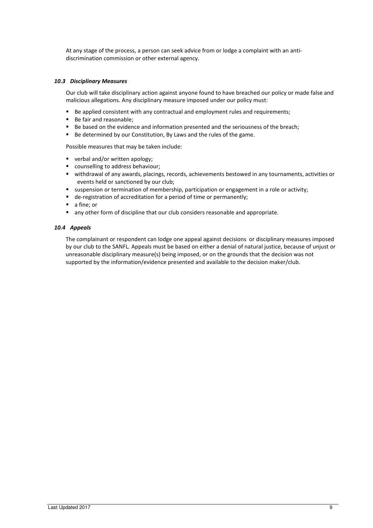At any stage of the process, a person can seek advice from or lodge a complaint with an antidiscrimination commission or other external agency.

## 10.3 Disciplinary Measures

Our club will take disciplinary action against anyone found to have breached our policy or made false and malicious allegations. Any disciplinary measure imposed under our policy must:

- Be applied consistent with any contractual and employment rules and requirements;
- Be fair and reasonable;
- Be based on the evidence and information presented and the seriousness of the breach;
- Be determined by our Constitution, By Laws and the rules of the game.

Possible measures that may be taken include:

- verbal and/or written apology;
- **•** counselling to address behaviour;
- withdrawal of any awards, placings, records, achievements bestowed in any tournaments, activities or events held or sanctioned by our club;
- **s** suspension or termination of membership, participation or engagement in a role or activity;
- de-registration of accreditation for a period of time or permanently;
- **a** fine: or
- any other form of discipline that our club considers reasonable and appropriate.

#### 10.4 Appeals

The complainant or respondent can lodge one appeal against decisions or disciplinary measures imposed by our club to the SANFL. Appeals must be based on either a denial of natural justice, because of unjust or unreasonable disciplinary measure(s) being imposed, or on the grounds that the decision was not supported by the information/evidence presented and available to the decision maker/club.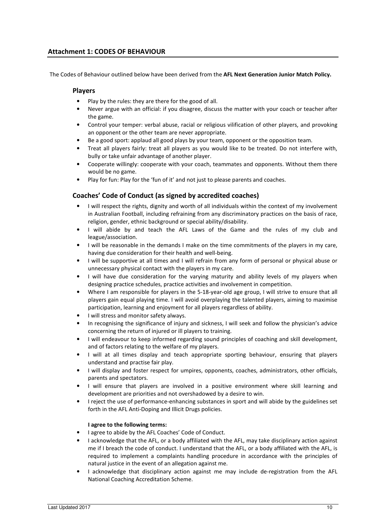## Attachment 1: CODES OF BEHAVIOUR

The Codes of Behaviour outlined below have been derived from the AFL Next Generation Junior Match Policy.

## Players

- Play by the rules: they are there for the good of all.
- Never argue with an official: if you disagree, discuss the matter with your coach or teacher after the game.
- Control your temper: verbal abuse, racial or religious vilification of other players, and provoking an opponent or the other team are never appropriate.
- Be a good sport: applaud all good plays by your team, opponent or the opposition team.
- Treat all players fairly: treat all players as you would like to be treated. Do not interfere with, bully or take unfair advantage of another player.
- Cooperate willingly: cooperate with your coach, teammates and opponents. Without them there would be no game.
- Play for fun: Play for the 'fun of it' and not just to please parents and coaches.

## Coaches' Code of Conduct (as signed by accredited coaches)

- I will respect the rights, dignity and worth of all individuals within the context of my involvement in Australian Football, including refraining from any discriminatory practices on the basis of race, religion, gender, ethnic background or special ability/disability.
- I will abide by and teach the AFL Laws of the Game and the rules of my club and league/association.
- I will be reasonable in the demands I make on the time commitments of the players in my care, having due consideration for their health and well-being.
- I will be supportive at all times and I will refrain from any form of personal or physical abuse or unnecessary physical contact with the players in my care.
- I will have due consideration for the varying maturity and ability levels of my players when designing practice schedules, practice activities and involvement in competition.
- Where I am responsible for players in the 5-18-year-old age group, I will strive to ensure that all players gain equal playing time. I will avoid overplaying the talented players, aiming to maximise participation, learning and enjoyment for all players regardless of ability.
- I will stress and monitor safety always.
- In recognising the significance of injury and sickness, I will seek and follow the physician's advice concerning the return of injured or ill players to training.
- I will endeavour to keep informed regarding sound principles of coaching and skill development, and of factors relating to the welfare of my players.
- I will at all times display and teach appropriate sporting behaviour, ensuring that players understand and practise fair play.
- I will display and foster respect for umpires, opponents, coaches, administrators, other officials, parents and spectators.
- I will ensure that players are involved in a positive environment where skill learning and development are priorities and not overshadowed by a desire to win.
- I reject the use of performance-enhancing substances in sport and will abide by the guidelines set forth in the AFL Anti-Doping and Illicit Drugs policies.

## I agree to the following terms:

- I agree to abide by the AFL Coaches' Code of Conduct.
- I acknowledge that the AFL, or a body affiliated with the AFL, may take disciplinary action against me if I breach the code of conduct. I understand that the AFL, or a body affiliated with the AFL, is required to implement a complaints handling procedure in accordance with the principles of natural justice in the event of an allegation against me.
- I acknowledge that disciplinary action against me may include de-registration from the AFL National Coaching Accreditation Scheme.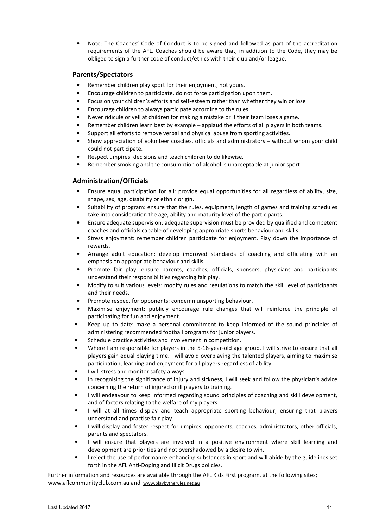• Note: The Coaches' Code of Conduct is to be signed and followed as part of the accreditation requirements of the AFL. Coaches should be aware that, in addition to the Code, they may be obliged to sign a further code of conduct/ethics with their club and/or league.

## Parents/Spectators

- Remember children play sport for their enjoyment, not yours.
- Encourage children to participate, do not force participation upon them.
- Focus on your children's efforts and self-esteem rather than whether they win or lose
- Encourage children to always participate according to the rules.
- Never ridicule or yell at children for making a mistake or if their team loses a game.
- Remember children learn best by example applaud the efforts of all players in both teams.
- Support all efforts to remove verbal and physical abuse from sporting activities.
- Show appreciation of volunteer coaches, officials and administrators without whom your child could not participate.
- Respect umpires' decisions and teach children to do likewise.
- Remember smoking and the consumption of alcohol is unacceptable at junior sport.

## Administration/Officials

- Ensure equal participation for all: provide equal opportunities for all regardless of ability, size, shape, sex, age, disability or ethnic origin.
- Suitability of program: ensure that the rules, equipment, length of games and training schedules take into consideration the age, ability and maturity level of the participants.
- Ensure adequate supervision: adequate supervision must be provided by qualified and competent coaches and officials capable of developing appropriate sports behaviour and skills.
- Stress enjoyment: remember children participate for enjoyment. Play down the importance of rewards.
- Arrange adult education: develop improved standards of coaching and officiating with an emphasis on appropriate behaviour and skills.
- Promote fair play: ensure parents, coaches, officials, sponsors, physicians and participants understand their responsibilities regarding fair play.
- Modify to suit various levels: modify rules and regulations to match the skill level of participants and their needs.
- Promote respect for opponents: condemn unsporting behaviour.
- Maximise enjoyment: publicly encourage rule changes that will reinforce the principle of participating for fun and enjoyment.
- Keep up to date: make a personal commitment to keep informed of the sound principles of administering recommended football programs for junior players.
- Schedule practice activities and involvement in competition.
- Where I am responsible for players in the 5-18-year-old age group, I will strive to ensure that all players gain equal playing time. I will avoid overplaying the talented players, aiming to maximise participation, learning and enjoyment for all players regardless of ability.
- I will stress and monitor safety always.
- In recognising the significance of injury and sickness, I will seek and follow the physician's advice concerning the return of injured or ill players to training.
- I will endeavour to keep informed regarding sound principles of coaching and skill development, and of factors relating to the welfare of my players.
- I will at all times display and teach appropriate sporting behaviour, ensuring that players understand and practise fair play.
- I will display and foster respect for umpires, opponents, coaches, administrators, other officials, parents and spectators.
- I will ensure that players are involved in a positive environment where skill learning and development are priorities and not overshadowed by a desire to win.
- I reject the use of performance-enhancing substances in sport and will abide by the guidelines set forth in the AFL Anti-Doping and Illicit Drugs policies.

Further information and resources are available through the AFL Kids First program, at the following sites; www.aflcommunityclub.com.au and www.playbytherules.net.au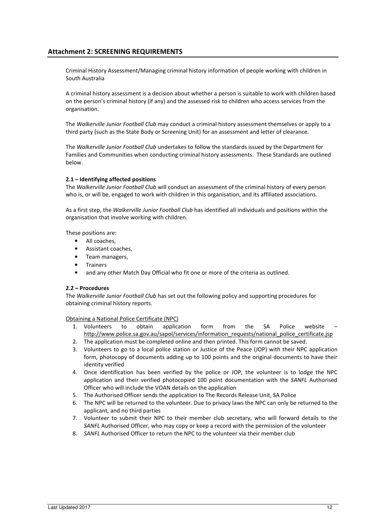## Attachment 2: SCREENING REQUIREMENTS

Criminal History Assessment/Managing criminal history information of people working with children in South Australia

A criminal history assessment is a decision about whether a person is suitable to work with children based on the person's criminal history (if any) and the assessed risk to children who access services from the organisation.

The Walkerville Junior Football Club may conduct a criminal history assessment themselves or apply to a third party (such as the State Body or Screening Unit) for an assessment and letter of clearance.

The Walkerville Junior Football Club undertakes to follow the standards issued by the Department for Families and Communities when conducting criminal history assessments. These Standards are outlined below.

## 2.1 – Identifying affected positions

The Walkerville Junior Football Club will conduct an assessment of the criminal history of every person who is, or will be, engaged to work with children in this organisation, and its affiliated associations.

As a first step, the Walkerville Junior Football Club has identified all individuals and positions within the organisation that involve working with children.

These positions are:

- All coaches,
- Assistant coaches,
- Team managers,
- Trainers
- and any other Match Day Official who fit one or more of the criteria as outlined.

## 2.2 – Procedures

The Walkerville Junior Football Club has set out the following policy and supporting procedures for obtaining criminal history reports.

Obtaining a National Police Certificate (NPC)

- 1. Volunteers to obtain application form from the SA Police website http://www.police.sa.gov.au/sapol/services/information\_requests/national\_police\_certificate.jsp
- 2. The application must be completed online and then printed. This form cannot be saved.
- 3. Volunteers to go to a local police station or Justice of the Peace (JOP) with their NPC application form, photocopy of documents adding up to 100 points and the original documents to have their identity verified
- 4. Once identification has been verified by the police or JOP, the volunteer is to lodge the NPC application and their verified photocopied 100 point documentation with the SANFL Authorised Officer who will include the VOAN details on the application
- 5. The Authorised Officer sends the application to The Records Release Unit, SA Police
- 6. The NPC will be returned to the volunteer. Due to privacy laws the NPC can only be returned to the applicant, and no third parties
- 7. Volunteer to submit their NPC to their member club secretary, who will forward details to the SANFL Authorised Officer, who may copy or keep a record with the permission of the volunteer
- 8. SANFL Authorised Officer to return the NPC to the volunteer via their member club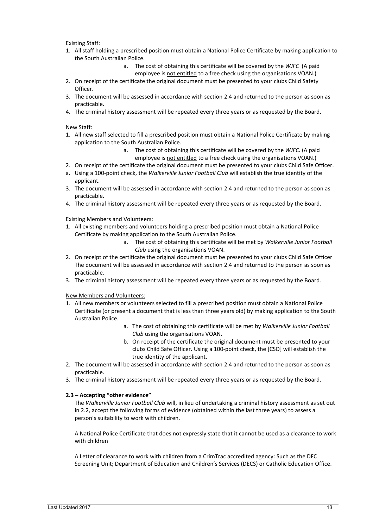## Existing Staff:

- 1. All staff holding a prescribed position must obtain a National Police Certificate by making application to the South Australian Police.
	- a. The cost of obtaining this certificate will be covered by the WJFC (A paid employee is not entitled to a free check using the organisations VOAN.)
- 2. On receipt of the certificate the original document must be presented to your clubs Child Safety Officer.
- 3. The document will be assessed in accordance with section 2.4 and returned to the person as soon as practicable.
- 4. The criminal history assessment will be repeated every three years or as requested by the Board.

## New Staff:

- 1. All new staff selected to fill a prescribed position must obtain a National Police Certificate by making application to the South Australian Police.
	- a. The cost of obtaining this certificate will be covered by the WJFC. (A paid employee is not entitled to a free check using the organisations VOAN.)
- 2. On receipt of the certificate the original document must be presented to your clubs Child Safe Officer.
- a. Using a 100-point check, the Walkerville Junior Football Club will establish the true identity of the applicant.
- 3. The document will be assessed in accordance with section 2.4 and returned to the person as soon as practicable.
- 4. The criminal history assessment will be repeated every three years or as requested by the Board.

## Existing Members and Volunteers:

- 1. All existing members and volunteers holding a prescribed position must obtain a National Police Certificate by making application to the South Australian Police.
	- a. The cost of obtaining this certificate will be met by Walkerville Junior Football Club using the organisations VOAN.
- 2. On receipt of the certificate the original document must be presented to your clubs Child Safe Officer The document will be assessed in accordance with section 2.4 and returned to the person as soon as practicable.
- 3. The criminal history assessment will be repeated every three years or as requested by the Board.

## New Members and Volunteers:

- 1. All new members or volunteers selected to fill a prescribed position must obtain a National Police Certificate (or present a document that is less than three years old) by making application to the South Australian Police.
	- a. The cost of obtaining this certificate will be met by Walkerville Junior Football Club using the organisations VOAN.
	- b. On receipt of the certificate the original document must be presented to your clubs Child Safe Officer. Using a 100-point check, the [CSO] will establish the true identity of the applicant.
- 2. The document will be assessed in accordance with section 2.4 and returned to the person as soon as practicable.
- 3. The criminal history assessment will be repeated every three years or as requested by the Board.

## 2.3 – Accepting "other evidence"

The Walkerville Junior Football Club will, in lieu of undertaking a criminal history assessment as set out in 2.2, accept the following forms of evidence (obtained within the last three years) to assess a person's suitability to work with children.

A National Police Certificate that does not expressly state that it cannot be used as a clearance to work with children

A Letter of clearance to work with children from a CrimTrac accredited agency: Such as the DFC Screening Unit; Department of Education and Children's Services (DECS) or Catholic Education Office.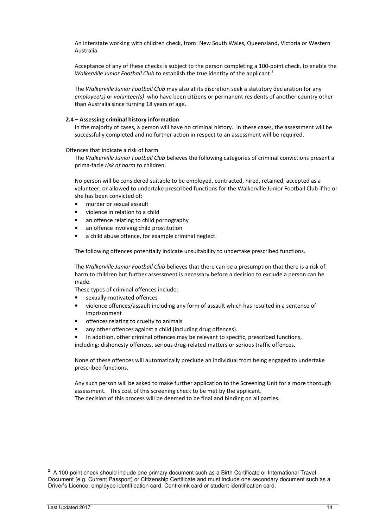An interstate working with children check, from: New South Wales, Queensland, Victoria or Western Australia.

Acceptance of any of these checks is subject to the person completing a 100-point check, to enable the Walkerville Junior Football Club to establish the true identity of the applicant.<sup>2</sup>

The Walkerville Junior Football Club may also at its discretion seek a statutory declaration for any employee(s) or volunteer(s) who have been citizens or permanent residents of another country other than Australia since turning 18 years of age.

## 2.4 – Assessing criminal history information

In the majority of cases, a person will have no criminal history. In these cases, the assessment will be successfully completed and no further action in respect to an assessment will be required.

Offences that indicate a risk of harm

The Walkerville Junior Football Club believes the following categories of criminal convictions present a prima-facie risk of harm to children.

No person will be considered suitable to be employed, contracted, hired, retained, accepted as a volunteer, or allowed to undertake prescribed functions for the Walkerville Junior Football Club if he or she has been convicted of:

- murder or sexual assault
- violence in relation to a child
- an offence relating to child pornography
- an offence involving child prostitution
- a child abuse offence, for example criminal neglect.

The following offences potentially indicate unsuitability to undertake prescribed functions.

The Walkerville Junior Football Club believes that there can be a presumption that there is a risk of harm to children but further assessment is necessary before a decision to exclude a person can be made.

These types of criminal offences include:

- sexually-motivated offences
- violence offences/assault including any form of assault which has resulted in a sentence of imprisonment
- offences relating to cruelty to animals
- any other offences against a child (including drug offences).

In addition, other criminal offences may be relevant to specific, prescribed functions,

including: dishonesty offences, serious drug-related matters or serious traffic offences.

None of these offences will automatically preclude an individual from being engaged to undertake prescribed functions.

Any such person will be asked to make further application to the Screening Unit for a more thorough assessment. This cost of this screening check to be met by the applicant. The decision of this process will be deemed to be final and binding on all parties.

 $\overline{a}$ 

 $2$  A 100-point check should include one primary document such as a Birth Certificate or International Travel Document (e.g. Current Passport) or Citizenship Certificate and must include one secondary document such as a Driver's Licence, employee identification card, Centrelink card or student identification card.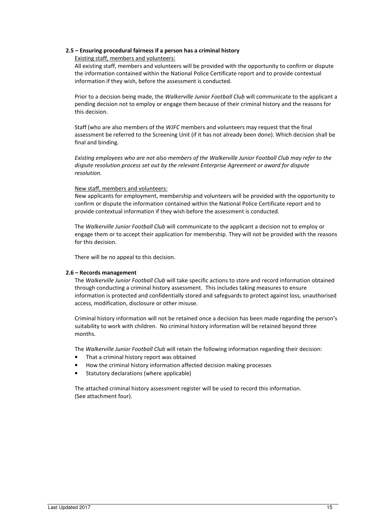## 2.5 – Ensuring procedural fairness if a person has a criminal history

## Existing staff, members and volunteers:

All existing staff, members and volunteers will be provided with the opportunity to confirm or dispute the information contained within the National Police Certificate report and to provide contextual information if they wish, before the assessment is conducted.

Prior to a decision being made, the Walkerville Junior Football Club will communicate to the applicant a pending decision not to employ or engage them because of their criminal history and the reasons for this decision.

Staff (who are also members of the WJFC members and volunteers may request that the final assessment be referred to the Screening Unit (if it has not already been done). Which decision shall be final and binding.

Existing employees who are not also members of the Walkerville Junior Football Club may refer to the dispute resolution process set out by the relevant Enterprise Agreement or award for dispute resolution.

## New staff, members and volunteers:

New applicants for employment, membership and volunteers will be provided with the opportunity to confirm or dispute the information contained within the National Police Certificate report and to provide contextual information if they wish before the assessment is conducted.

The Walkerville Junior Football Club will communicate to the applicant a decision not to employ or engage them or to accept their application for membership. They will not be provided with the reasons for this decision.

There will be no appeal to this decision.

## 2.6 – Records management

The Walkerville Junior Football Club will take specific actions to store and record information obtained through conducting a criminal history assessment. This includes taking measures to ensure information is protected and confidentially stored and safeguards to protect against loss, unauthorised access, modification, disclosure or other misuse.

Criminal history information will not be retained once a decision has been made regarding the person's suitability to work with children. No criminal history information will be retained beyond three months.

The Walkerville Junior Football Club will retain the following information regarding their decision:

- That a criminal history report was obtained
- How the criminal history information affected decision making processes
- Statutory declarations (where applicable)

The attached criminal history assessment register will be used to record this information. (See attachment four).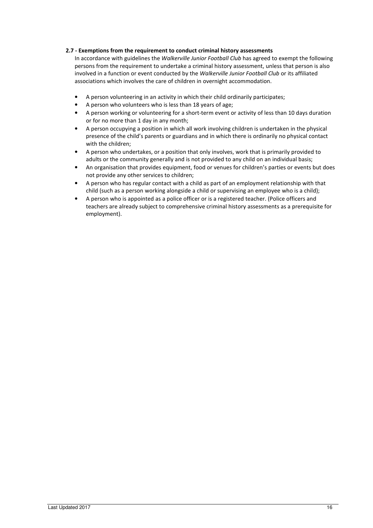## 2.7 - Exemptions from the requirement to conduct criminal history assessments

In accordance with guidelines the Walkerville Junior Football Club has agreed to exempt the following persons from the requirement to undertake a criminal history assessment, unless that person is also involved in a function or event conducted by the Walkerville Junior Football Club or its affiliated associations which involves the care of children in overnight accommodation.

- A person volunteering in an activity in which their child ordinarily participates;
- A person who volunteers who is less than 18 years of age;
- A person working or volunteering for a short-term event or activity of less than 10 days duration or for no more than 1 day in any month;
- A person occupying a position in which all work involving children is undertaken in the physical presence of the child's parents or guardians and in which there is ordinarily no physical contact with the children;
- A person who undertakes, or a position that only involves, work that is primarily provided to adults or the community generally and is not provided to any child on an individual basis;
- An organisation that provides equipment, food or venues for children's parties or events but does not provide any other services to children;
- A person who has regular contact with a child as part of an employment relationship with that child (such as a person working alongside a child or supervising an employee who is a child);
- A person who is appointed as a police officer or is a registered teacher. (Police officers and teachers are already subject to comprehensive criminal history assessments as a prerequisite for employment).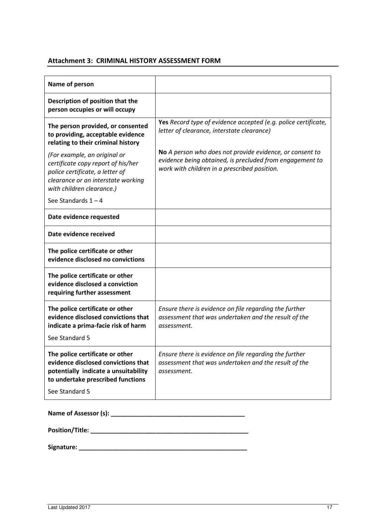# Attachment 3: CRIMINAL HISTORY ASSESSMENT FORM

| Name of person                                                                                                                                                        |                                                                                                                                                                          |  |  |  |
|-----------------------------------------------------------------------------------------------------------------------------------------------------------------------|--------------------------------------------------------------------------------------------------------------------------------------------------------------------------|--|--|--|
| Description of position that the<br>person occupies or will occupy                                                                                                    |                                                                                                                                                                          |  |  |  |
| The person provided, or consented<br>to providing, acceptable evidence<br>relating to their criminal history<br>(For example, an original or                          | Yes Record type of evidence accepted (e.g. police certificate,<br>letter of clearance, interstate clearance)<br>No A person who does not provide evidence, or consent to |  |  |  |
| certificate copy report of his/her<br>police certificate, a letter of<br>clearance or an interstate working<br>with children clearance.)                              | evidence being obtained, is precluded from engagement to<br>work with children in a prescribed position.                                                                 |  |  |  |
| See Standards $1 - 4$                                                                                                                                                 |                                                                                                                                                                          |  |  |  |
| Date evidence requested                                                                                                                                               |                                                                                                                                                                          |  |  |  |
| Date evidence received                                                                                                                                                |                                                                                                                                                                          |  |  |  |
| The police certificate or other<br>evidence disclosed no convictions                                                                                                  |                                                                                                                                                                          |  |  |  |
| The police certificate or other<br>evidence disclosed a conviction<br>requiring further assessment                                                                    |                                                                                                                                                                          |  |  |  |
| The police certificate or other<br>evidence disclosed convictions that<br>indicate a prima-facie risk of harm<br>See Standard 5                                       | Ensure there is evidence on file regarding the further<br>assessment that was undertaken and the result of the<br>assessment.                                            |  |  |  |
| The police certificate or other<br>evidence disclosed convictions that<br>potentially indicate a unsuitability<br>to undertake prescribed functions<br>See Standard 5 | Ensure there is evidence on file regarding the further<br>assessment that was undertaken and the result of the<br>assessment.                                            |  |  |  |

Position/Title: \_\_\_\_\_\_\_\_\_\_\_\_\_\_\_\_\_\_\_\_\_\_\_\_\_\_\_\_\_\_\_\_\_\_\_\_\_\_\_\_\_\_\_\_\_\_

Signature: \_\_\_\_\_\_\_\_\_\_\_\_\_\_\_\_\_\_\_\_\_\_\_\_\_\_\_\_\_\_\_\_\_\_\_\_\_\_\_\_\_\_\_\_\_\_\_\_\_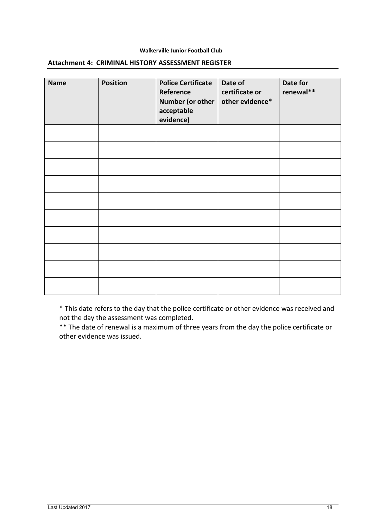## Walkerville Junior Football Club

| <b>Name</b> | <b>Position</b> | <b>Police Certificate</b><br>Reference<br>Number (or other<br>acceptable<br>evidence) | Date of<br>certificate or<br>other evidence* | Date for<br>renewal** |
|-------------|-----------------|---------------------------------------------------------------------------------------|----------------------------------------------|-----------------------|
|             |                 |                                                                                       |                                              |                       |
|             |                 |                                                                                       |                                              |                       |
|             |                 |                                                                                       |                                              |                       |
|             |                 |                                                                                       |                                              |                       |
|             |                 |                                                                                       |                                              |                       |
|             |                 |                                                                                       |                                              |                       |
|             |                 |                                                                                       |                                              |                       |
|             |                 |                                                                                       |                                              |                       |
|             |                 |                                                                                       |                                              |                       |
|             |                 |                                                                                       |                                              |                       |

## Attachment 4: CRIMINAL HISTORY ASSESSMENT REGISTER

\* This date refers to the day that the police certificate or other evidence was received and not the day the assessment was completed.

\*\* The date of renewal is a maximum of three years from the day the police certificate or other evidence was issued.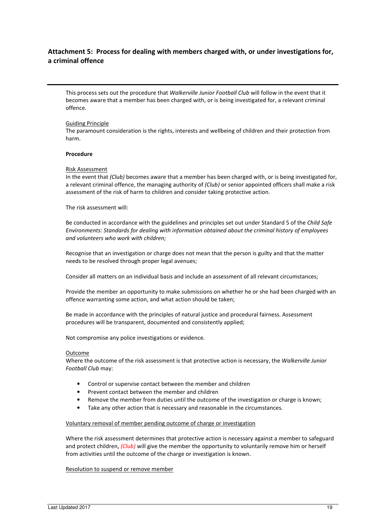# Attachment 5: Process for dealing with members charged with, or under investigations for, a criminal offence

This process sets out the procedure that Walkerville Junior Football Club will follow in the event that it becomes aware that a member has been charged with, or is being investigated for, a relevant criminal offence.

#### Guiding Principle

The paramount consideration is the rights, interests and wellbeing of children and their protection from harm.

#### Procedure

#### Risk Assessment

In the event that (Club) becomes aware that a member has been charged with, or is being investigated for, a relevant criminal offence, the managing authority of (Club) or senior appointed officers shall make a risk assessment of the risk of harm to children and consider taking protective action.

The risk assessment will:

Be conducted in accordance with the guidelines and principles set out under Standard 5 of the Child Safe Environments: Standards for dealing with information obtained about the criminal history of employees and volunteers who work with children;

Recognise that an investigation or charge does not mean that the person is guilty and that the matter needs to be resolved through proper legal avenues;

Consider all matters on an individual basis and include an assessment of all relevant circumstances;

Provide the member an opportunity to make submissions on whether he or she had been charged with an offence warranting some action, and what action should be taken;

Be made in accordance with the principles of natural justice and procedural fairness. Assessment procedures will be transparent, documented and consistently applied;

Not compromise any police investigations or evidence.

## Outcome

Where the outcome of the risk assessment is that protective action is necessary, the Walkerville Junior Football Club may:

- Control or supervise contact between the member and children
- Prevent contact between the member and children
- Remove the member from duties until the outcome of the investigation or charge is known;
- Take any other action that is necessary and reasonable in the circumstances.

## Voluntary removal of member pending outcome of charge or investigation

Where the risk assessment determines that protective action is necessary against a member to safeguard and protect children, *(Club)* will give the member the opportunity to voluntarily remove him or herself from activities until the outcome of the charge or investigation is known.

## Resolution to suspend or remove member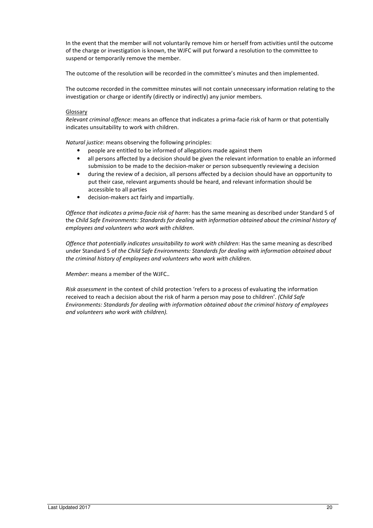In the event that the member will not voluntarily remove him or herself from activities until the outcome of the charge or investigation is known, the WJFC will put forward a resolution to the committee to suspend or temporarily remove the member.

The outcome of the resolution will be recorded in the committee's minutes and then implemented.

The outcome recorded in the committee minutes will not contain unnecessary information relating to the investigation or charge or identify (directly or indirectly) any junior members.

## **Glossary**

Relevant criminal offence: means an offence that indicates a prima-facie risk of harm or that potentially indicates unsuitability to work with children.

Natural justice: means observing the following principles:

- people are entitled to be informed of allegations made against them
- all persons affected by a decision should be given the relevant information to enable an informed submission to be made to the decision-maker or person subsequently reviewing a decision
- during the review of a decision, all persons affected by a decision should have an opportunity to put their case, relevant arguments should be heard, and relevant information should be accessible to all parties
- decision-makers act fairly and impartially.

Offence that indicates a prima-facie risk of harm: has the same meaning as described under Standard 5 of the Child Safe Environments: Standards for dealing with information obtained about the criminal history of employees and volunteers who work with children.

Offence that potentially indicates unsuitability to work with children: Has the same meaning as described under Standard 5 of the Child Safe Environments: Standards for dealing with information obtained about the criminal history of employees and volunteers who work with children.

Member: means a member of the WJFC..

Risk assessment in the context of child protection 'refers to a process of evaluating the information received to reach a decision about the risk of harm a person may pose to children'. (Child Safe Environments: Standards for dealing with information obtained about the criminal history of employees and volunteers who work with children).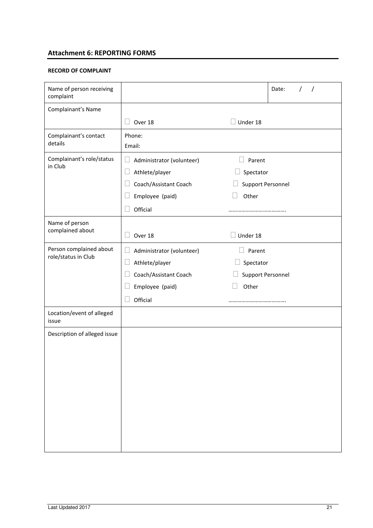# Attachment 6: REPORTING FORMS

# RECORD OF COMPLAINT

| Name of person receiving<br>complaint |                           |                   | Date: |
|---------------------------------------|---------------------------|-------------------|-------|
| Complainant's Name                    |                           |                   |       |
|                                       | Over 18                   | Under 18          |       |
| Complainant's contact                 | Phone:                    |                   |       |
| details                               | Email:                    |                   |       |
| Complainant's role/status<br>in Club  | Administrator (volunteer) | Parent            |       |
|                                       | Athlete/player            | Spectator         |       |
|                                       | Coach/Assistant Coach     | Support Personnel |       |
|                                       | Employee (paid)           | Other             |       |
|                                       | Official                  |                   |       |
| Name of person<br>complained about    | Over 18                   | Under 18          |       |
| Person complained about               | Administrator (volunteer) | Parent            |       |
| role/status in Club                   | Athlete/player            | Spectator         |       |
|                                       | Coach/Assistant Coach     | Support Personnel |       |
|                                       | Employee (paid)           | Other             |       |
|                                       | Official                  |                   |       |
| Location/event of alleged<br>issue    |                           |                   |       |
| Description of alleged issue          |                           |                   |       |
|                                       |                           |                   |       |
|                                       |                           |                   |       |
|                                       |                           |                   |       |
|                                       |                           |                   |       |
|                                       |                           |                   |       |
|                                       |                           |                   |       |
|                                       |                           |                   |       |
|                                       |                           |                   |       |
|                                       |                           |                   |       |